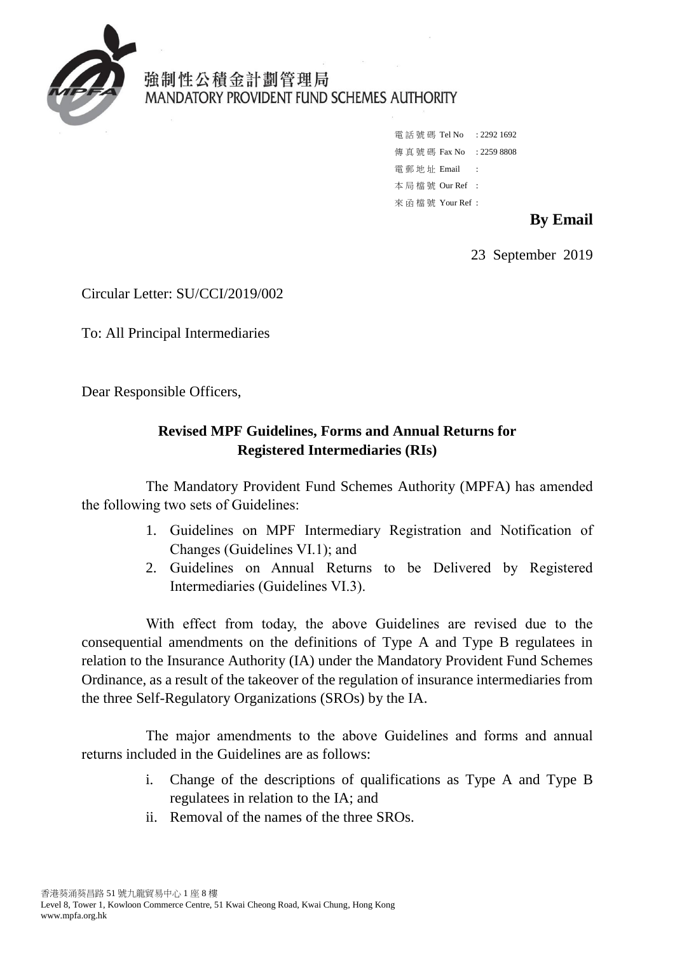

## 強制性公積金計劃管理局 MANDATORY PROVIDENT FUND SCHEMES AUTHORITY

```
電話號碼 Tel No : 2292 1692
傳真號碼 Fax No : 2259 8808
電 郵 地 址 Email :
本 局 檔 號 Our Ref : 
來 函 檔 號 Your Ref :
```
## **By Email**

23 September 2019

Circular Letter: SU/CCI/2019/002

To: All Principal Intermediaries

Dear Responsible Officers,

## **Revised MPF Guidelines, Forms and Annual Returns for Registered Intermediaries (RIs)**

The Mandatory Provident Fund Schemes Authority (MPFA) has amended the following two sets of Guidelines:

- 1. Guidelines on MPF Intermediary Registration and Notification of Changes (Guidelines VI.1); and
- 2. Guidelines on Annual Returns to be Delivered by Registered Intermediaries (Guidelines VI.3).

 consequential amendments on the definitions of Type A and Type B regulatees in With effect from today, the above Guidelines are revised due to the relation to the Insurance Authority (IA) under the Mandatory Provident Fund Schemes Ordinance, as a result of the takeover of the regulation of insurance intermediaries from the three Self-Regulatory Organizations (SROs) by the IA.

The major amendments to the above Guidelines and forms and annual returns included in the Guidelines are as follows:

- i. Change of the descriptions of qualifications as Type A and Type B regulatees in relation to the IA; and
- ii. Removal of the names of the three SROs.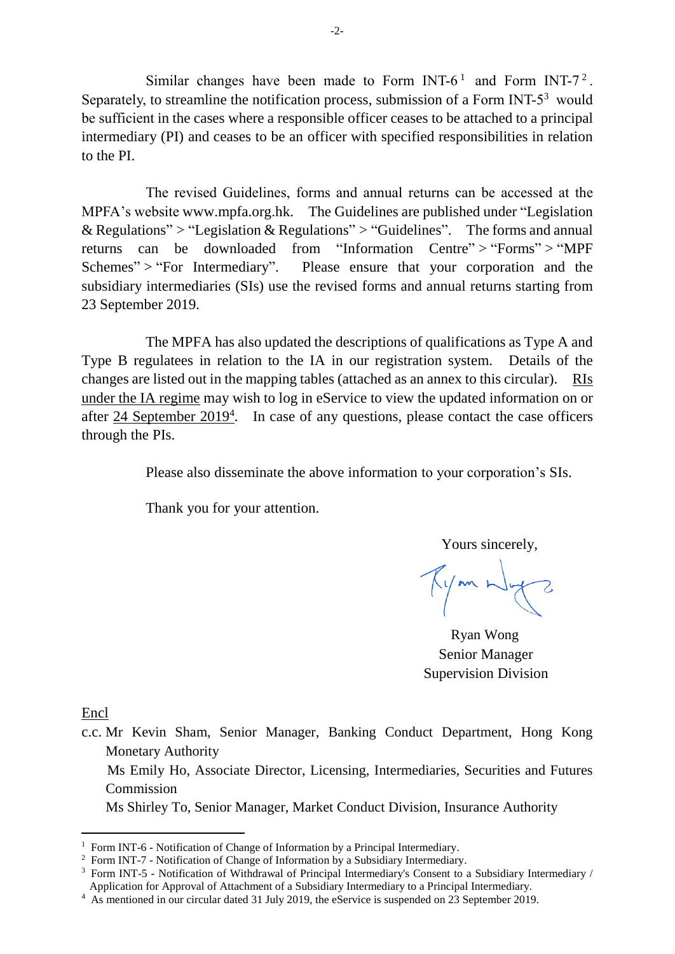Similar changes have been made to Form INT-6<sup>1</sup> and Form INT-7<sup>2</sup>. Separately, to streamline the notification process, submission of a Form INT- $5<sup>3</sup>$  would intermediary (PI) and ceases to be an officer with specified responsibilities in relation be sufficient in the cases where a responsible officer ceases to be attached to a principal to the PI.

The revised Guidelines, forms and annual returns can be accessed at the MPFA's website www.mpfa.org.hk. The Guidelines are published under ["Legislation](http://www.mpfa.org.hk/eng/legislation_regulations/index.jsp)  [& Regulations"](http://www.mpfa.org.hk/eng/legislation_regulations/index.jsp) > ["Legislation & Regulations"](http://www.mpfa.org.hk/eng/legislation_regulations/legulations_ordinance/index.jsp) > ["Guidelines"](http://www.mpfa.org.hk/eng/legislation_regulations/legulations_ordinance/guidelines/index.jsp). The forms and annual returns can be downloaded from ["Information Centre"](http://www.mpfa.org.hk/eng/information_centre/index.jsp) > ["Forms"](http://www.mpfa.org.hk/eng/information_centre/forms/index.jsp) > ["MPF](http://www.mpfa.org.hk/eng/information_centre/forms/mpf_schemes/index.jsp)  [Schemes"](http://www.mpfa.org.hk/eng/information_centre/forms/mpf_schemes/index.jsp) > ["For Intermediary"](http://www.mpfa.org.hk/eng/information_centre/forms/mpf_schemes/intermediary/index.jsp). Please ensure that your corporation and the subsidiary intermediaries (SIs) use the revised forms and annual returns starting from 23 September 2019.

 The MPFA has also updated the descriptions of qualifications as Type A and Type B regulatees in relation to the IA in our registration system. Details of the changes are listed out in the mapping tables (attached as an annex to this circular). RIs under the IA regime may wish to log in eService to view the updated information on or after  $24$  September  $2019<sup>4</sup>$ . In case of any questions, please contact the case officers through the PIs.

Please also disseminate the above information to your corporation's SIs.

Thank you for your attention.

Yours sincerely,

Tymnly?

Ryan Wong Senior Manager Supervision Division

Encl

-

c.c. Mr Kevin Sham, Senior Manager, Banking Conduct Department, Hong Kong Monetary Authority

 Ms Emily Ho, Associate Director, Licensing, Intermediaries, Securities and Futures Commission

Ms Shirley To, Senior Manager, Market Conduct Division, Insurance Authority

<sup>&</sup>lt;sup>2</sup> Form INT-7 - Notification of Change of Information by a Subsidiary Intermediary.

<sup>&</sup>lt;sup>1</sup> Form INT-6 - Notification of Change of Information by a Principal Intermediary.<br><sup>2</sup> Form INT-7 - Notification of Change of Information by a Subsidiary Intermediary.<br><sup>3</sup> Form INT-5 - Notification of Withdrawal of Princ Application for Approval of Attachment of a Subsidiary Intermediary to a Principal Intermediary.

<sup>&</sup>lt;sup>4</sup> As mentioned in our circular dated 31 July 2019, the eService is suspended on 23 September 2019.